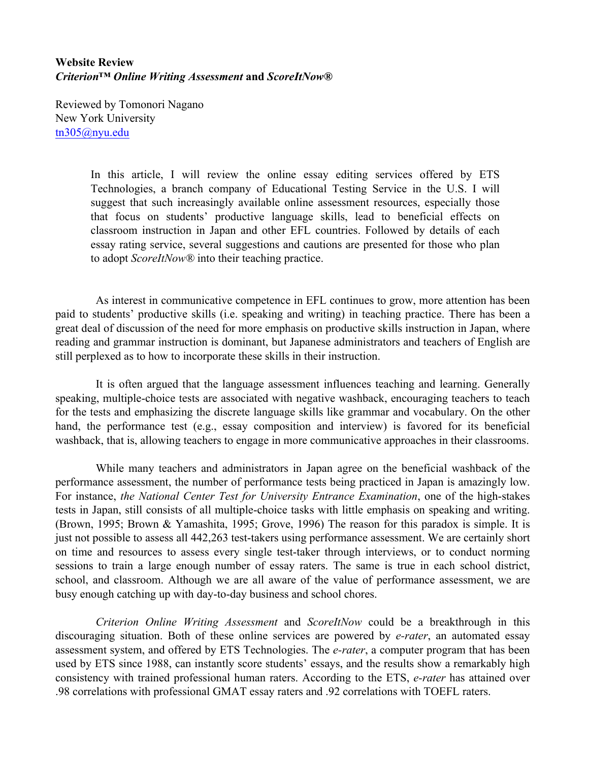## **Website Review** *Criterion™ Online Writing Assessment* **and** *ScoreItNow®*

Reviewed by Tomonori Nagano New York University tn305@nyu.edu

> In this article, I will review the online essay editing services offered by ETS Technologies, a branch company of Educational Testing Service in the U.S. I will suggest that such increasingly available online assessment resources, especially those that focus on students' productive language skills, lead to beneficial effects on classroom instruction in Japan and other EFL countries. Followed by details of each essay rating service, several suggestions and cautions are presented for those who plan to adopt *ScoreItNow®* into their teaching practice.

As interest in communicative competence in EFL continues to grow, more attention has been paid to students' productive skills (i.e. speaking and writing) in teaching practice. There has been a great deal of discussion of the need for more emphasis on productive skills instruction in Japan, where reading and grammar instruction is dominant, but Japanese administrators and teachers of English are still perplexed as to how to incorporate these skills in their instruction.

It is often argued that the language assessment influences teaching and learning. Generally speaking, multiple-choice tests are associated with negative washback, encouraging teachers to teach for the tests and emphasizing the discrete language skills like grammar and vocabulary. On the other hand, the performance test (e.g., essay composition and interview) is favored for its beneficial washback, that is, allowing teachers to engage in more communicative approaches in their classrooms.

While many teachers and administrators in Japan agree on the beneficial washback of the performance assessment, the number of performance tests being practiced in Japan is amazingly low. For instance, *the National Center Test for University Entrance Examination*, one of the high-stakes tests in Japan, still consists of all multiple-choice tasks with little emphasis on speaking and writing. (Brown, 1995; Brown & Yamashita, 1995; Grove, 1996) The reason for this paradox is simple. It is just not possible to assess all 442,263 test-takers using performance assessment. We are certainly short on time and resources to assess every single test-taker through interviews, or to conduct norming sessions to train a large enough number of essay raters. The same is true in each school district, school, and classroom. Although we are all aware of the value of performance assessment, we are busy enough catching up with day-to-day business and school chores.

*Criterion Online Writing Assessment* and *ScoreItNow* could be a breakthrough in this discouraging situation. Both of these online services are powered by *e-rater*, an automated essay assessment system, and offered by ETS Technologies. The *e-rater*, a computer program that has been used by ETS since 1988, can instantly score students' essays, and the results show a remarkably high consistency with trained professional human raters. According to the ETS, *e-rater* has attained over .98 correlations with professional GMAT essay raters and .92 correlations with TOEFL raters.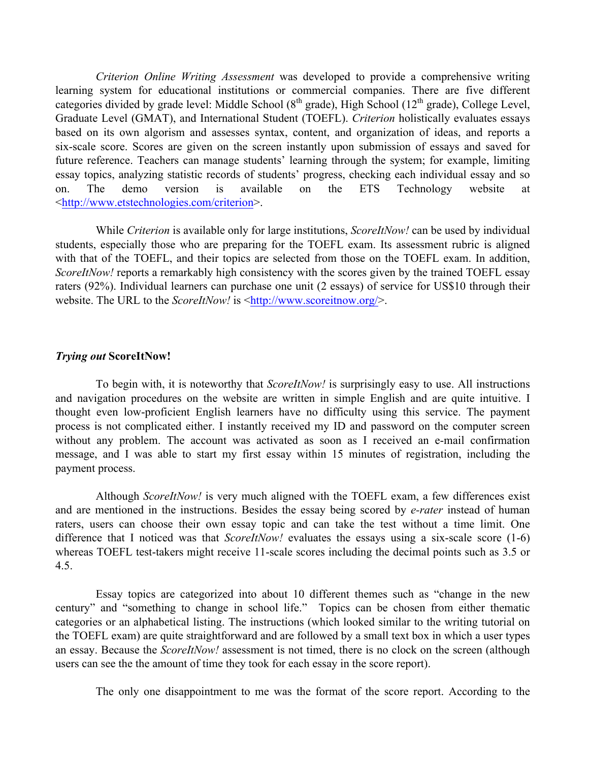*Criterion Online Writing Assessment* was developed to provide a comprehensive writing learning system for educational institutions or commercial companies. There are five different categories divided by grade level: Middle School  $(8<sup>th</sup> \text{ grade})$ , High School  $(12<sup>th</sup> \text{ grade})$ , College Level, Graduate Level (GMAT), and International Student (TOEFL). *Criterion* holistically evaluates essays based on its own algorism and assesses syntax, content, and organization of ideas, and reports a six-scale score. Scores are given on the screen instantly upon submission of essays and saved for future reference. Teachers can manage students' learning through the system; for example, limiting essay topics, analyzing statistic records of students' progress, checking each individual essay and so on. The demo version is available on the ETS Technology website at <http://www.etstechnologies.com/criterion>.

While *Criterion* is available only for large institutions, *ScoreItNow!* can be used by individual students, especially those who are preparing for the TOEFL exam. Its assessment rubric is aligned with that of the TOEFL, and their topics are selected from those on the TOEFL exam. In addition, *ScoreItNow!* reports a remarkably high consistency with the scores given by the trained TOEFL essay raters (92%). Individual learners can purchase one unit (2 essays) of service for US\$10 through their website. The URL to the *ScoreItNow!* is <http://www.scoreitnow.org/>.

## *Trying out* **ScoreItNow!**

To begin with, it is noteworthy that *ScoreItNow!* is surprisingly easy to use. All instructions and navigation procedures on the website are written in simple English and are quite intuitive. I thought even low-proficient English learners have no difficulty using this service. The payment process is not complicated either. I instantly received my ID and password on the computer screen without any problem. The account was activated as soon as I received an e-mail confirmation message, and I was able to start my first essay within 15 minutes of registration, including the payment process.

Although *ScoreItNow!* is very much aligned with the TOEFL exam, a few differences exist and are mentioned in the instructions. Besides the essay being scored by *e-rater* instead of human raters, users can choose their own essay topic and can take the test without a time limit. One difference that I noticed was that *ScoreItNow!* evaluates the essays using a six-scale score (1-6) whereas TOEFL test-takers might receive 11-scale scores including the decimal points such as 3.5 or 4.5.

Essay topics are categorized into about 10 different themes such as "change in the new century" and "something to change in school life." Topics can be chosen from either thematic categories or an alphabetical listing. The instructions (which looked similar to the writing tutorial on the TOEFL exam) are quite straightforward and are followed by a small text box in which a user types an essay. Because the *ScoreItNow!* assessment is not timed, there is no clock on the screen (although users can see the the amount of time they took for each essay in the score report).

The only one disappointment to me was the format of the score report. According to the